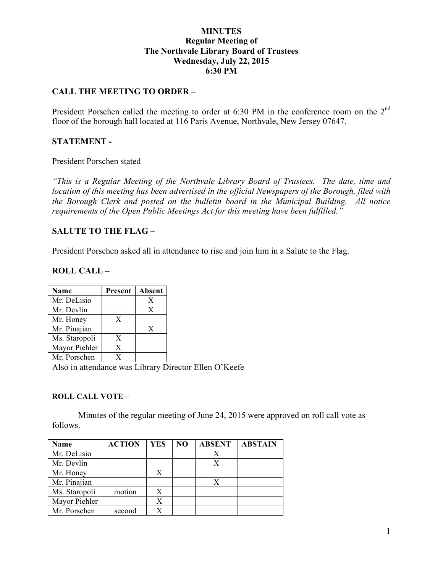# **MINUTES Regular Meeting of The Northvale Library Board of Trustees Wednesday, July 22, 2015 6:30 PM**

# **CALL THE MEETING TO ORDER –**

President Porschen called the meeting to order at 6:30 PM in the conference room on the 2<sup>nd</sup> floor of the borough hall located at 116 Paris Avenue, Northvale, New Jersey 07647.

### **STATEMENT -**

President Porschen stated

*"This is a Regular Meeting of the Northvale Library Board of Trustees. The date, time and location of this meeting has been advertised in the official Newspapers of the Borough, filed with the Borough Clerk and posted on the bulletin board in the Municipal Building. All notice requirements of the Open Public Meetings Act for this meeting have been fulfilled."* 

### **SALUTE TO THE FLAG –**

President Porschen asked all in attendance to rise and join him in a Salute to the Flag.

#### **ROLL CALL –**

| Name          | <b>Present</b> | Absent |
|---------------|----------------|--------|
| Mr. DeLisio   |                | X      |
| Mr. Devlin    |                | X      |
| Mr. Honey     | X              |        |
| Mr. Pinajian  |                | X      |
| Ms. Staropoli | X              |        |
| Mayor Piehler | X              |        |
| Mr. Porschen  | Y              |        |

Also in attendance was Library Director Ellen O'Keefe

#### **ROLL CALL VOTE –**

Minutes of the regular meeting of June 24, 2015 were approved on roll call vote as follows.

| <b>Name</b>   | <b>ACTION</b> | <b>YES</b> | N <sub>O</sub> | <b>ABSENT</b> | <b>ABSTAIN</b> |
|---------------|---------------|------------|----------------|---------------|----------------|
| Mr. DeLisio   |               |            |                |               |                |
| Mr. Devlin    |               |            |                | X             |                |
| Mr. Honey     |               | Х          |                |               |                |
| Mr. Pinajian  |               |            |                |               |                |
| Ms. Staropoli | motion        | X          |                |               |                |
| Mayor Piehler |               | Х          |                |               |                |
| Mr. Porschen  | second        |            |                |               |                |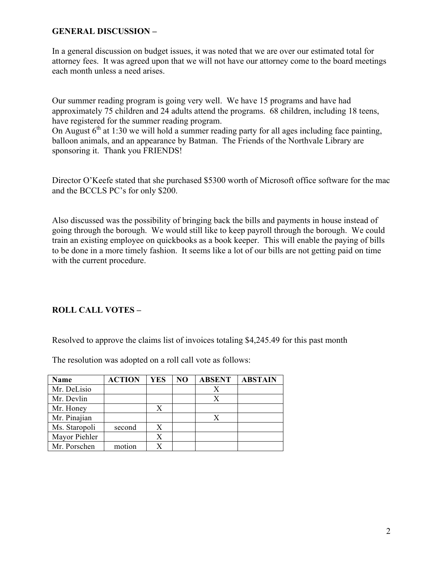# **GENERAL DISCUSSION –**

In a general discussion on budget issues, it was noted that we are over our estimated total for attorney fees. It was agreed upon that we will not have our attorney come to the board meetings each month unless a need arises.

Our summer reading program is going very well. We have 15 programs and have had approximately 75 children and 24 adults attend the programs. 68 children, including 18 teens, have registered for the summer reading program.

On August  $6<sup>th</sup>$  at 1:30 we will hold a summer reading party for all ages including face painting, balloon animals, and an appearance by Batman. The Friends of the Northvale Library are sponsoring it. Thank you FRIENDS!

Director O'Keefe stated that she purchased \$5300 worth of Microsoft office software for the mac and the BCCLS PC's for only \$200.

Also discussed was the possibility of bringing back the bills and payments in house instead of going through the borough. We would still like to keep payroll through the borough. We could train an existing employee on quickbooks as a book keeper. This will enable the paying of bills to be done in a more timely fashion. It seems like a lot of our bills are not getting paid on time with the current procedure.

# **ROLL CALL VOTES –**

Resolved to approve the claims list of invoices totaling \$4,245.49 for this past month

The resolution was adopted on a roll call vote as follows:

| <b>Name</b>   | <b>ACTION</b> | YES | N <sub>O</sub> | <b>ABSENT</b> | <b>ABSTAIN</b> |
|---------------|---------------|-----|----------------|---------------|----------------|
| Mr. DeLisio   |               |     |                |               |                |
| Mr. Devlin    |               |     |                |               |                |
| Mr. Honey     |               | X   |                |               |                |
| Mr. Pinajian  |               |     |                |               |                |
| Ms. Staropoli | second        | Х   |                |               |                |
| Mayor Piehler |               |     |                |               |                |
| Mr. Porschen  | motion        |     |                |               |                |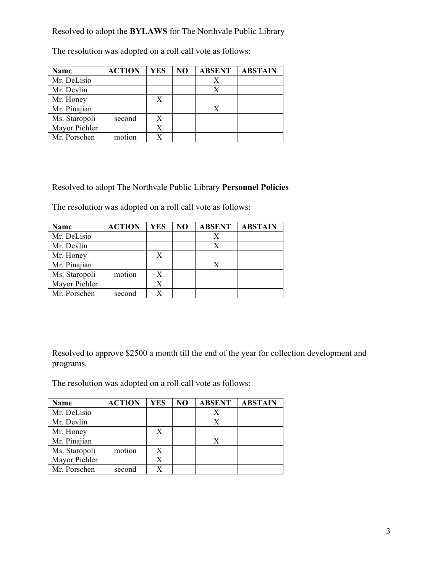Resolved to adopt the **BYLAWS** for The Northvale Public Library

| Name          | <b>ACTION</b> | YES | N <sub>O</sub> | <b>ABSENT</b> | <b>ABSTAIN</b> |
|---------------|---------------|-----|----------------|---------------|----------------|
| Mr. DeLisio   |               |     |                | Χ             |                |
| Mr. Devlin    |               |     |                | X             |                |
| Mr. Honey     |               | X   |                |               |                |
| Mr. Pinajian  |               |     |                | Х             |                |
| Ms. Staropoli | second        | X   |                |               |                |
| Mayor Piehler |               |     |                |               |                |
| Mr. Porschen  | motion        |     |                |               |                |

The resolution was adopted on a roll call vote as follows:

Resolved to adopt The Northvale Public Library **Personnel Policies**

The resolution was adopted on a roll call vote as follows:

| <b>Name</b>   | <b>ACTION</b> | <b>YES</b> | N <sub>O</sub> | <b>ABSENT</b> | <b>ABSTAIN</b> |
|---------------|---------------|------------|----------------|---------------|----------------|
| Mr. DeLisio   |               |            |                |               |                |
| Mr. Devlin    |               |            |                |               |                |
| Mr. Honey     |               | X          |                |               |                |
| Mr. Pinajian  |               |            |                |               |                |
| Ms. Staropoli | motion        |            |                |               |                |
| Mayor Piehler |               |            |                |               |                |
| Mr. Porschen  | second        |            |                |               |                |

Resolved to approve \$2500 a month till the end of the year for collection development and programs.

The resolution was adopted on a roll call vote as follows:

| Name          | <b>ACTION</b> | <b>YES</b> | N <sub>O</sub> | <b>ABSENT</b> | <b>ABSTAIN</b> |
|---------------|---------------|------------|----------------|---------------|----------------|
| Mr. DeLisio   |               |            |                |               |                |
| Mr. Devlin    |               |            |                | X             |                |
| Mr. Honey     |               | X          |                |               |                |
| Mr. Pinajian  |               |            |                |               |                |
| Ms. Staropoli | motion        | X          |                |               |                |
| Mayor Piehler |               | X          |                |               |                |
| Mr. Porschen  | second        |            |                |               |                |